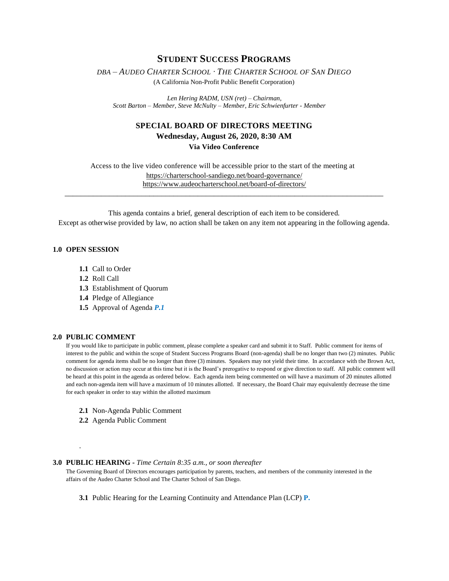# **STUDENT SUCCESS PROGRAMS**

*DBA – AUDEO CHARTER SCHOOL ∙ THE CHARTER SCHOOL OF SAN DIEGO* 

(A California Non-Profit Public Benefit Corporation)

*Len Hering RADM, USN (ret) – Chairman, Scott Barton – Member, Steve McNulty – Member, Eric Schwienfurter - Member*

## **SPECIAL BOARD OF DIRECTORS MEETING**

### **Wednesday, August 26, 2020, 8:30 AM Via Video Conference**

Access to the live video conference will be accessible prior to the start of the meeting at [https://charterschool-sandiego.net/board-governance/](https://nam03.safelinks.protection.outlook.com/?url=https%3A%2F%2Fcharterschool-sandiego.net%2Fboard-governance%2F&data=01%7C01%7Caneri%40charterschool-sandiego.net%7Ccebb580d31104415d8ad08d840b15f57%7C24faab72d88b41cdbb8163784817dfbe%7C0&sdata=muEUKQocXIVWqk0yj5h7Eg%2Bn4oVY4GxwEol6sjPO9i8%3D&reserved=0) [https://www.audeocharterschool.net/board-of-directors/](https://nam03.safelinks.protection.outlook.com/?url=https%3A%2F%2Fwww.audeocharterschool.net%2Fboard-of-directors%2F&data=01%7C01%7Caneri%40charterschool-sandiego.net%7Ccebb580d31104415d8ad08d840b15f57%7C24faab72d88b41cdbb8163784817dfbe%7C0&sdata=BVZLFm8%2BNadpQ7qz5kiF5GS6P4qqb4GUAqj8DJo7DvQ%3D&reserved=0) \_\_\_\_\_\_\_\_\_\_\_\_\_\_\_\_\_\_\_\_\_\_\_\_\_\_\_\_\_\_\_\_\_\_\_\_\_\_\_\_\_\_\_\_\_\_\_\_\_\_\_\_\_\_\_\_\_\_\_\_\_\_\_\_\_\_\_\_\_\_\_\_\_\_\_\_\_\_\_

This agenda contains a brief, general description of each item to be considered. Except as otherwise provided by law, no action shall be taken on any item not appearing in the following agenda.

#### **1.0 OPEN SESSION**

- **1.1** Call to Order
- **1.2** Roll Call
- **1.3** Establishment of Quorum
- **1.4** Pledge of Allegiance
- **1.5** Approval of Agenda *P.1*

#### **2.0 PUBLIC COMMENT**

.

If you would like to participate in public comment, please complete a speaker card and submit it to Staff. Public comment for items of interest to the public and within the scope of Student Success Programs Board (non-agenda) shall be no longer than two (2) minutes. Public comment for agenda items shall be no longer than three (3) minutes. Speakers may not yield their time. In accordance with the Brown Act, no discussion or action may occur at this time but it is the Board's prerogative to respond or give direction to staff. All public comment will be heard at this point in the agenda as ordered below. Each agenda item being commented on will have a maximum of 20 minutes allotted and each non-agenda item will have a maximum of 10 minutes allotted. If necessary, the Board Chair may equivalently decrease the time for each speaker in order to stay within the allotted maximum

- **2.1** Non-Agenda Public Comment
- **2.2** Agenda Public Comment

#### **3.0 PUBLIC HEARING -** *Time Certain 8:35 a.m., or soon thereafter*

The Governing Board of Directors encourages participation by parents, teachers, and members of the community interested in the affairs of the Audeo Charter School and The Charter School of San Diego.

**3.1** Public Hearing for the Learning Continuity and Attendance Plan (LCP) **P.**